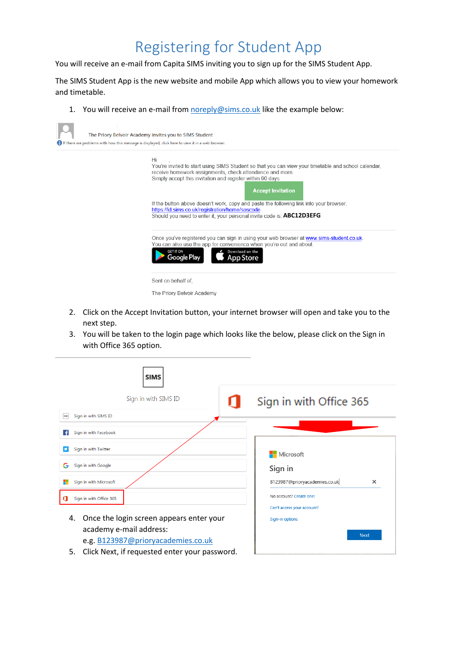## Registering for Student App

You will receive an e-mail from Capita SIMS inviting you to sign up for the SIMS Student App.

The SIMS Student App is the new website and mobile App which allows you to view your homework and timetable.

1. You will receive an e-mail fro[m noreply@sims.co.uk](mailto:noreply@sims.co.uk) like the example below:

| Hi<br>You're invited to start using SIMS Student so that you can view your timetable and school calendar,<br>receive homework assignments, check attendance and more.<br>Simply accept this invitation and register within 90 days.<br><b>Accept Invitation</b> |
|-----------------------------------------------------------------------------------------------------------------------------------------------------------------------------------------------------------------------------------------------------------------|
| If the button above doesn't work, copy and paste the following link into your browser.<br>https://id.sims.co.uk/registration/home/soscode<br>Should you need to enter it, your personal invite code is: ABC12D3EFG                                              |
| Once you've registered you can sign in using your web browser at www.sims-student.co.uk.<br>You can also use the app for convenience when you're out and about.<br>Download on the<br><b>GET IT ON</b><br>Google Play<br>b Store                                |
| Sent on behalf of.<br>The Priory Belvoir Academy                                                                                                                                                                                                                |

- 2. Click on the Accept Invitation button, your internet browser will open and take you to the next step.
- 3. You will be taken to the login page which looks like the below, please click on the Sign in with Office 365 option.

| <b>SIMS</b>                                                   |                                               |
|---------------------------------------------------------------|-----------------------------------------------|
| Sign in with SIMS ID                                          | Sign in with Office 365                       |
| Sign in with SIMS ID<br><b>SIMS</b>                           |                                               |
| Sign in with Facebook<br>ΙŦΙ                                  |                                               |
| Sign in with Twitter                                          | <b>H</b> Microsoft                            |
| Sign in with Google<br>G                                      | Sign in                                       |
| Sign in with Microsoft                                        | B123987@prioryacademies.co.uk<br>$\times$     |
| Sign in with Office 365                                       | No account? Create one!                       |
| Once the login screen appears enter your<br>4.                | Can't access your account?<br>Sign-in options |
| academy e-mail address:<br>e.g. B123987@prioryacademies.co.uk | <b>Next</b>                                   |
| Click Next, if requested enter your password.<br>5.           |                                               |

5. Click Next, if requested enter your password.  $\Box$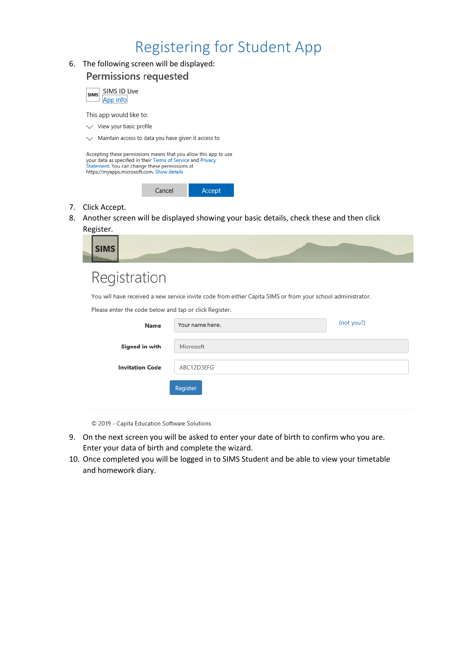## Registering for Student App

### 6. The following screen will be displayed: **Permissions requested** SIMS ID Live **SIMS** App info This app would like to:  $\vee$  View your basic profile  $\vee$  Maintain access to data you have given it access to Accepting these permissions means that you allow this app to use your data as specified in their Terms of Service and Privacy<br>Statement. You can change these permissions at https://myapps.microsoft.com. Show details Cancel Accept

- 7. Click Accept.
- 8. Another screen will be displayed showing your basic details, check these and then click Register.

| $\vert$ SIMS $\vert$ |                   |  |  |
|----------------------|-------------------|--|--|
|                      | $D = \frac{1}{2}$ |  |  |

### Registration

You will have received a new service invite code from either Capita SIMS or from your school administrator.

Please enter the code below and tap or click Register.

| Name                   | Your name here. | (not you?) |
|------------------------|-----------------|------------|
| Signed in with         | Microsoft       |            |
| <b>Invitation Code</b> | ABC12D3EFG      |            |
|                        | Register        |            |
|                        |                 |            |

© 2019 - Capita Education Software Solutions

- 9. On the next screen you will be asked to enter your date of birth to confirm who you are. Enter your data of birth and complete the wizard.
- 10. Once completed you will be logged in to SIMS Student and be able to view your timetable and homework diary.